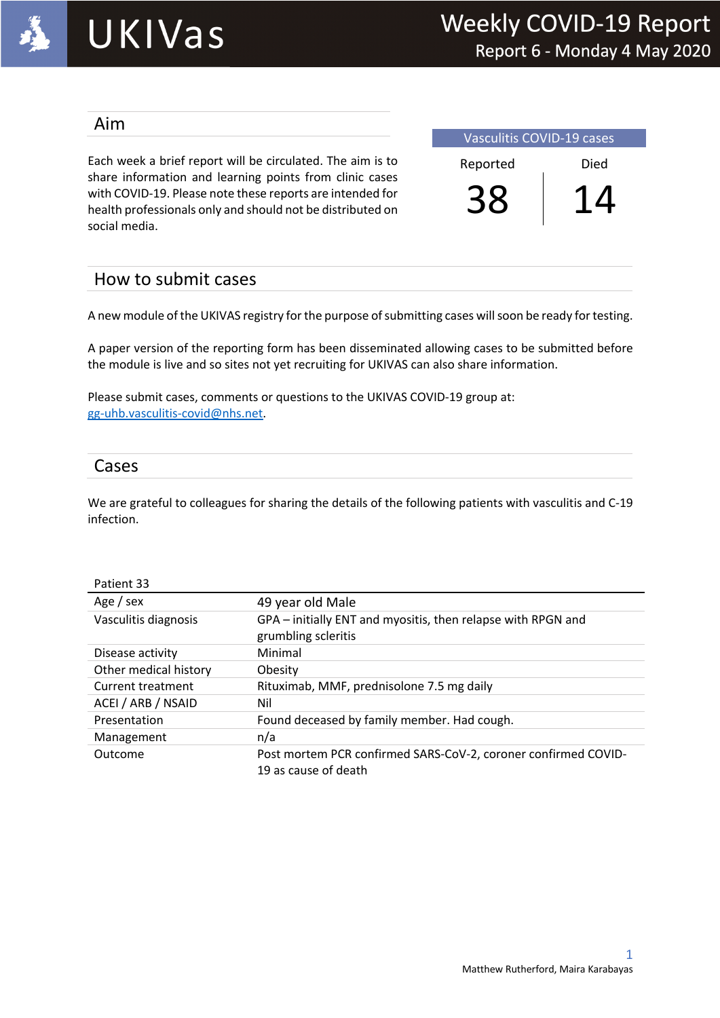

### Aim

Each week a brief report will be circulated. The aim is to share information and learning points from clinic cases with COVID-19. Please note these reports are intended for health professionals only and should not be distributed on social media.

Vasculitis COVID-19 cases Reported Died 38 14

### How to submit cases

A new module of the UKIVAS registry for the purpose of submitting cases will soon be ready for testing.

A paper version of the reporting form has been disseminated allowing cases to be submitted before the module is live and so sites not yet recruiting for UKIVAS can also share information.

Please submit cases, comments or questions to the UKIVAS COVID-19 group at: gg-uhb.vasculitis-covid@nhs.net.

### Cases

We are grateful to colleagues for sharing the details of the following patients with vasculitis and C-19 infection.

| Patient 33           |                                                                                     |
|----------------------|-------------------------------------------------------------------------------------|
| Age / sex            | 49 year old Male                                                                    |
| Vasculitis diagnosis | GPA – initially ENT and myositis, then relapse with RPGN and<br>grumbling scleritis |
| Disease activity     | Minimal                                                                             |
|                      |                                                                                     |

| $.8898$ and $.001$       | of the mutually Eith and myoship) then relapse mith in One and |  |  |
|--------------------------|----------------------------------------------------------------|--|--|
|                          | grumbling scleritis                                            |  |  |
| Disease activity         | Minimal                                                        |  |  |
| Other medical history    | Obesity                                                        |  |  |
| <b>Current treatment</b> | Rituximab, MMF, prednisolone 7.5 mg daily                      |  |  |
| ACEI / ARB / NSAID       | Nil                                                            |  |  |
| Presentation             | Found deceased by family member. Had cough.                    |  |  |
| Management               | n/a                                                            |  |  |
| Outcome                  | Post mortem PCR confirmed SARS-CoV-2, coroner confirmed COVID- |  |  |
|                          | 19 as cause of death                                           |  |  |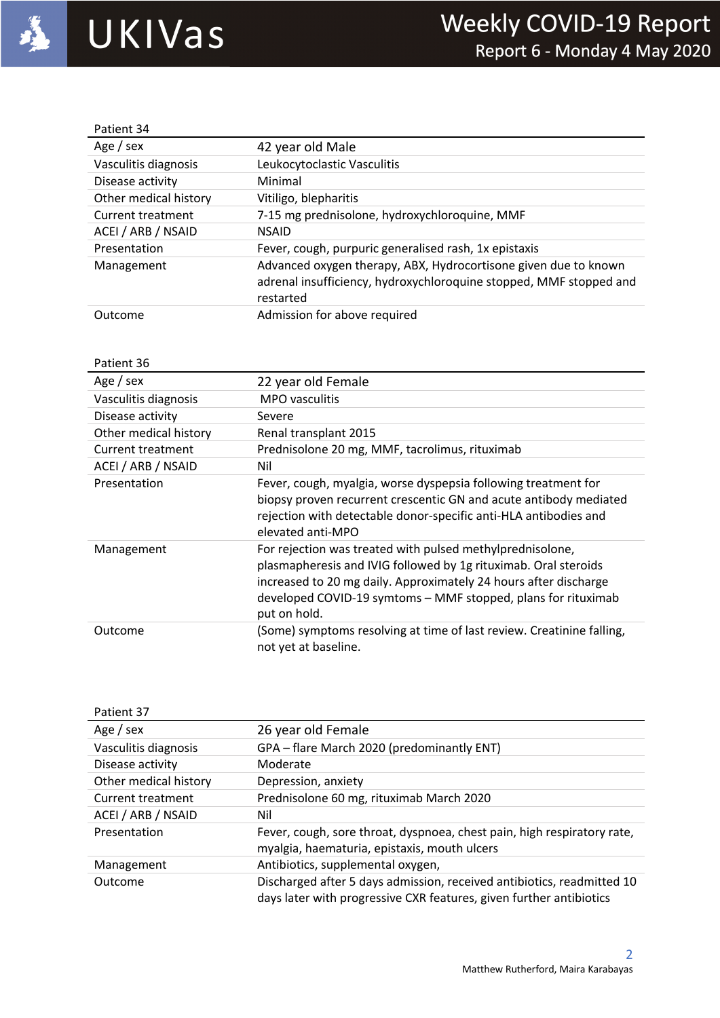

| Patient 34            |                                                                                                                                                    |
|-----------------------|----------------------------------------------------------------------------------------------------------------------------------------------------|
| Age / $sex$           | 42 year old Male                                                                                                                                   |
| Vasculitis diagnosis  | Leukocytoclastic Vasculitis                                                                                                                        |
| Disease activity      | Minimal                                                                                                                                            |
| Other medical history | Vitiligo, blepharitis                                                                                                                              |
| Current treatment     | 7-15 mg prednisolone, hydroxychloroquine, MMF                                                                                                      |
| ACEI / ARB / NSAID    | <b>NSAID</b>                                                                                                                                       |
| Presentation          | Fever, cough, purpuric generalised rash, 1x epistaxis                                                                                              |
| Management            | Advanced oxygen therapy, ABX, Hydrocortisone given due to known<br>adrenal insufficiency, hydroxychloroquine stopped, MMF stopped and<br>restarted |
| Outcome               | Admission for above required                                                                                                                       |

| Patient 36            |                                                                                                                                                                                                                                                                                   |
|-----------------------|-----------------------------------------------------------------------------------------------------------------------------------------------------------------------------------------------------------------------------------------------------------------------------------|
| Age / sex             | 22 year old Female                                                                                                                                                                                                                                                                |
| Vasculitis diagnosis  | MPO vasculitis                                                                                                                                                                                                                                                                    |
| Disease activity      | Severe                                                                                                                                                                                                                                                                            |
| Other medical history | Renal transplant 2015                                                                                                                                                                                                                                                             |
| Current treatment     | Prednisolone 20 mg, MMF, tacrolimus, rituximab                                                                                                                                                                                                                                    |
| ACEI / ARB / NSAID    | Nil                                                                                                                                                                                                                                                                               |
| Presentation          | Fever, cough, myalgia, worse dyspepsia following treatment for<br>biopsy proven recurrent crescentic GN and acute antibody mediated<br>rejection with detectable donor-specific anti-HLA antibodies and<br>elevated anti-MPO                                                      |
| Management            | For rejection was treated with pulsed methylprednisolone,<br>plasmapheresis and IVIG followed by 1g rituximab. Oral steroids<br>increased to 20 mg daily. Approximately 24 hours after discharge<br>developed COVID-19 symtoms - MMF stopped, plans for rituximab<br>put on hold. |
| Outcome               | (Some) symptoms resolving at time of last review. Creatinine falling,<br>not yet at baseline.                                                                                                                                                                                     |

| Patient 37            |                                                                                                                                               |
|-----------------------|-----------------------------------------------------------------------------------------------------------------------------------------------|
| Age / sex             | 26 year old Female                                                                                                                            |
| Vasculitis diagnosis  | GPA - flare March 2020 (predominantly ENT)                                                                                                    |
| Disease activity      | Moderate                                                                                                                                      |
| Other medical history | Depression, anxiety                                                                                                                           |
| Current treatment     | Prednisolone 60 mg, rituximab March 2020                                                                                                      |
| ACEI / ARB / NSAID    | Nil                                                                                                                                           |
| Presentation          | Fever, cough, sore throat, dyspnoea, chest pain, high respiratory rate,<br>myalgia, haematuria, epistaxis, mouth ulcers                       |
| Management            | Antibiotics, supplemental oxygen,                                                                                                             |
| Outcome               | Discharged after 5 days admission, received antibiotics, readmitted 10<br>days later with progressive CXR features, given further antibiotics |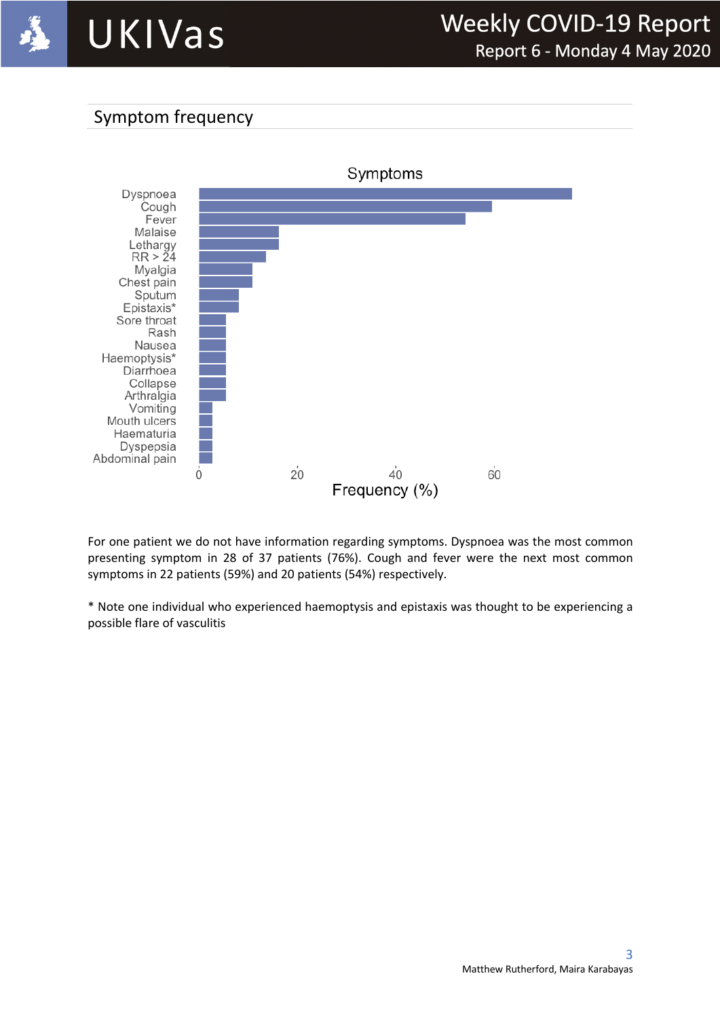

## Symptom frequency



For one patient we do not have information regarding symptoms. Dyspnoea was the most common presenting symptom in 28 of 37 patients (76%). Cough and fever were the next most common symptoms in 22 patients (59%) and 20 patients (54%) respectively.

\* Note one individual who experienced haemoptysis and epistaxis was thought to be experiencing a possible flare of vasculitis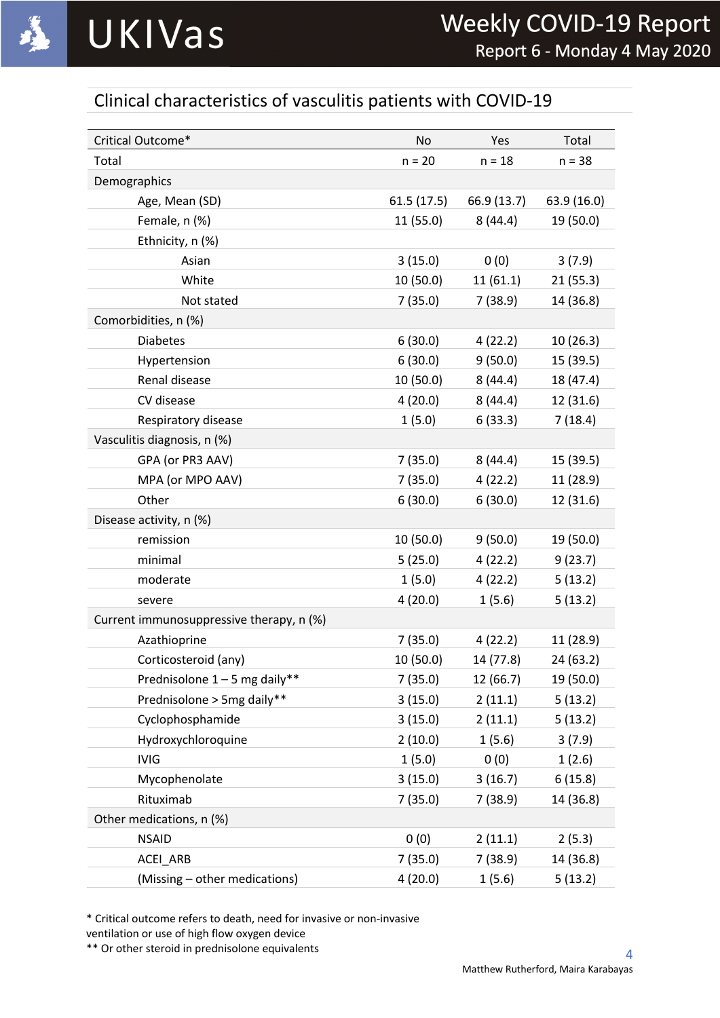

# Clinical characteristics of vasculitis patients with COVID-19

| Critical Outcome*                        | No         | Yes         | Total       |
|------------------------------------------|------------|-------------|-------------|
| Total                                    | $n = 20$   | $n = 18$    | $n = 38$    |
| Demographics                             |            |             |             |
| Age, Mean (SD)                           | 61.5(17.5) | 66.9 (13.7) | 63.9 (16.0) |
| Female, n (%)                            | 11 (55.0)  | 8(44.4)     | 19 (50.0)   |
| Ethnicity, n (%)                         |            |             |             |
| Asian                                    | 3(15.0)    | 0(0)        | 3(7.9)      |
| White                                    | 10 (50.0)  | 11(61.1)    | 21(55.3)    |
| Not stated                               | 7(35.0)    | 7(38.9)     | 14 (36.8)   |
| Comorbidities, n (%)                     |            |             |             |
| <b>Diabetes</b>                          | 6(30.0)    | 4(22.2)     | 10(26.3)    |
| Hypertension                             | 6(30.0)    | 9(50.0)     | 15 (39.5)   |
| Renal disease                            | 10 (50.0)  | 8(44.4)     | 18 (47.4)   |
| CV disease                               | 4(20.0)    | 8(44.4)     | 12 (31.6)   |
| Respiratory disease                      | 1(5.0)     | 6(33.3)     | 7(18.4)     |
| Vasculitis diagnosis, n (%)              |            |             |             |
| GPA (or PR3 AAV)                         | 7(35.0)    | 8(44.4)     | 15 (39.5)   |
| MPA (or MPO AAV)                         | 7(35.0)    | 4(22.2)     | 11 (28.9)   |
| Other                                    | 6(30.0)    | 6(30.0)     | 12 (31.6)   |
| Disease activity, n (%)                  |            |             |             |
| remission                                | 10(50.0)   | 9(50.0)     | 19 (50.0)   |
| minimal                                  | 5(25.0)    | 4(22.2)     | 9(23.7)     |
| moderate                                 | 1(5.0)     | 4(22.2)     | 5(13.2)     |
| severe                                   | 4(20.0)    | 1(5.6)      | 5(13.2)     |
| Current immunosuppressive therapy, n (%) |            |             |             |
| Azathioprine                             | 7(35.0)    | 4(22.2)     | 11 (28.9)   |
| Corticosteroid (any)                     | 10 (50.0)  | 14 (77.8)   | 24 (63.2)   |
| Prednisolone 1-5 mg daily**              | 7(35.0)    | 12 (66.7)   | 19 (50.0)   |
| Prednisolone > 5mg daily**               | 3(15.0)    | 2(11.1)     | 5(13.2)     |
| Cyclophosphamide                         | 3(15.0)    | 2(11.1)     | 5(13.2)     |
| Hydroxychloroquine                       | 2(10.0)    | 1(5.6)      | 3(7.9)      |
| <b>IVIG</b>                              | 1(5.0)     | 0(0)        | 1(2.6)      |
| Mycophenolate                            | 3(15.0)    | 3(16.7)     | 6(15.8)     |
| Rituximab                                | 7(35.0)    | 7(38.9)     | 14 (36.8)   |
| Other medications, n (%)                 |            |             |             |
| <b>NSAID</b>                             | 0(0)       | 2(11.1)     | 2(5.3)      |
| ACEI_ARB                                 | 7(35.0)    | 7(38.9)     | 14 (36.8)   |
| (Missing - other medications)            | 4(20.0)    | 1(5.6)      | 5(13.2)     |

\* Critical outcome refers to death, need for invasive or non-invasive

ventilation or use of high flow oxygen device

\*\* Or other steroid in prednisolone equivalents